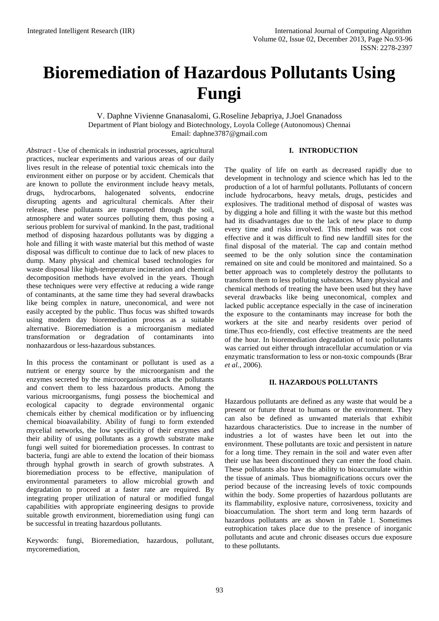# **Bioremediation of Hazardous Pollutants Using Fungi**

V. Daphne Vivienne Gnanasalomi, G.Roseline Jebapriya, J.Joel Gnanadoss Department of Plant biology and Biotechnology, Loyola College (Autonomous) Chennai Email: [daphne3787@gmail.com](mailto:daphne3787@gmail.com)

*Abstract -* Use of chemicals in industrial processes, agricultural practices, nuclear experiments and various areas of our daily lives result in the release of potential toxic chemicals into the environment either on purpose or by accident. Chemicals that are known to pollute the environment include heavy metals, drugs, hydrocarbons, halogenated solvents, endocrine disrupting agents and agricultural chemicals. After their release, these pollutants are transported through the soil, atmosphere and water sources polluting them, thus posing a serious problem for survival of mankind. In the past, traditional method of disposing hazardous pollutants was by digging a hole and filling it with waste material but this method of waste disposal was difficult to continue due to lack of new places to dump. Many physical and chemical based technologies for waste disposal like high-temperature incineration and chemical decomposition methods have evolved in the years. Though these techniques were very effective at reducing a wide range of contaminants, at the same time they had several drawbacks like being complex in nature, uneconomical, and were not easily accepted by the public. Thus focus was shifted towards using modern day bioremediation process as a suitable alternative. Bioremediation is a microorganism mediated transformation or degradation of contaminants into nonhazardous or less-hazardous substances.

In this process the contaminant or pollutant is used as a nutrient or energy source by the microorganism and the enzymes secreted by the microorganisms attack the pollutants and convert them to less hazardous products. Among the various microorganisms, fungi possess the biochemical and ecological capacity to degrade environmental organic chemicals either by chemical modification or by influencing chemical bioavailability. Ability of fungi to form extended mycelial networks, the low specificity of their enzymes and their ability of using pollutants as a growth substrate make fungi well suited for bioremediation processes. In contrast to bacteria, fungi are able to extend the location of their biomass through hyphal growth in search of growth substrates. A bioremediation process to be effective, manipulation of environmental parameters to allow microbial growth and degradation to proceed at a faster rate are required. By integrating proper utilization of natural or modified fungal capabilities with appropriate engineering designs to provide suitable growth environment, bioremediation using fungi can be successful in treating hazardous pollutants.

Keywords: fungi, Bioremediation, hazardous, pollutant, mycoremediation,

# **I. INTRODUCTION**

The quality of life on earth as decreased rapidly due to development in technology and science which has led to the production of a lot of harmful pollutants. Pollutants of concern include hydrocarbons, heavy metals, drugs, pesticides and explosives. The traditional method of disposal of wastes was by digging a hole and filling it with the waste but this method had its disadvantages due to the lack of new place to dump every time and risks involved. This method was not cost effective and it was difficult to find new landfill sites for the final disposal of the material. The cap and contain method seemed to be the only solution since the contamination remained on site and could be monitored and maintained. So a better approach was to completely destroy the pollutants to transform them to less polluting substances. Many physical and chemical methods of treating the have been used but they have several drawbacks like being uneconomical, complex and lacked public acceptance especially in the case of incineration the exposure to the contaminants may increase for both the workers at the site and nearby residents over period of time.Thus eco-friendly, cost effective treatments are the need of the hour. In bioremediation degradation of toxic pollutants was carried out either through intracellular accumulation or via enzymatic transformation to less or non-toxic compounds (Brar *et al.,* 2006).

### **II. HAZARDOUS POLLUTANTS**

Hazardous pollutants are defined as any waste that would be a present or future threat to humans or the environment. They can also be defined as unwanted materials that exhibit hazardous characteristics. Due to increase in the number of industries a lot of wastes have been let out into the environment. These pollutants are toxic and persistent in nature for a long time. They remain in the soil and water even after their use has been discontinued they can enter the food chain. These pollutants also have the ability to bioaccumulate within the tissue of animals. Thus biomagnifications occurs over the period because of the increasing levels of toxic compounds within the body. Some properties of hazardous pollutants are its flammability, explosive nature, corrosiveness, toxicity and bioaccumulation. The short term and long term hazards of hazardous pollutants are as shown in Table 1. Sometimes eutrophication takes place due to the presence of inorganic pollutants and acute and chronic diseases occurs due exposure to these pollutants.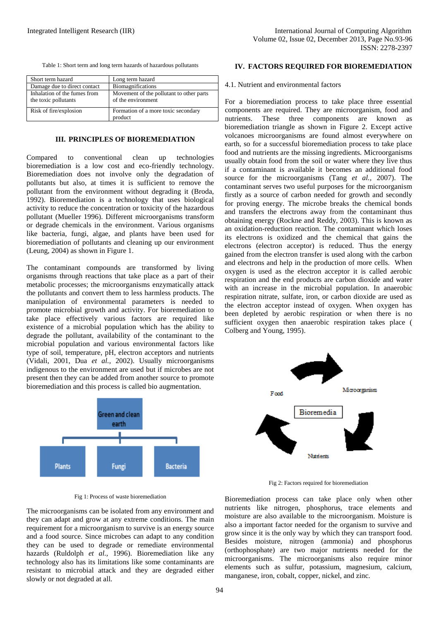Table 1: Short term and long term hazards of hazardous pollutants

| Short term hazard                                    | Long term hazard                                               |
|------------------------------------------------------|----------------------------------------------------------------|
| Damage due to direct contact                         | Biomagnifications                                              |
| Inhalation of the fumes from<br>the toxic pollutants | Movement of the pollutant to other parts<br>of the environment |
| Risk of fire/explosion                               | Formation of a more toxic secondary<br>product                 |

#### **III. PRINCIPLES OF BIOREMEDIATION**

Compared to conventional clean up technologies bioremediation is a low cost and eco-friendly technology. Bioremediation does not involve only the degradation of pollutants but also, at times it is sufficient to remove the pollutant from the environment without degrading it (Broda, 1992). Bioremediation is a technology that uses biological activity to reduce the concentration or toxicity of the hazardous pollutant (Mueller 1996). Different microorganisms transform or degrade chemicals in the environment. Various organisms like bacteria, fungi, algae, and plants have been used for bioremediation of pollutants and cleaning up our environment (Leung, 2004) as shown in Figure 1.

The contaminant compounds are transformed by living organisms through reactions that take place as a part of their metabolic processes; the microorganisms enzymatically attack the pollutants and convert them to less harmless products. The manipulation of environmental parameters is needed to promote microbial growth and activity. For bioremediation to take place effectively various factors are required like existence of a microbial population which has the ability to degrade the pollutant, availability of the contaminant to the microbial population and various environmental factors like type of soil, temperature, pH, electron acceptors and nutrients (Vidali, 2001, Dua *et al.,* 2002). Usually microorganisms indigenous to the environment are used but if microbes are not present then they can be added from another source to promote bioremediation and this process is called bio augmentation.



Fig 1: Process of waste bioremediation

The microorganisms can be isolated from any environment and they can adapt and grow at any extreme conditions. The main requirement for a microorganism to survive is an energy source and a food source. Since microbes can adapt to any condition they can be used to degrade or remediate environmental hazards (Ruldolph *et al.,* 1996). Bioremediation like any technology also has its limitations like some contaminants are resistant to microbial attack and they are degraded either slowly or not degraded at all.

## **IV. FACTORS REQUIRED FOR BIOREMEDIATION**

4.1. Nutrient and environmental factors

For a bioremediation process to take place three essential components are required. They are microorganism, food and nutrients. These three components are known as bioremediation triangle as shown in Figure 2. Except active volcanoes microorganisms are found almost everywhere on earth, so for a successful bioremediation process to take place food and nutrients are the missing ingredients. Microorganisms usually obtain food from the soil or water where they live thus if a contaminant is available it becomes an additional food source for the microorganisms (Tang *et al.,* 2007). The contaminant serves two useful purposes for the microorganism firstly as a source of carbon needed for growth and secondly for proving energy. The microbe breaks the chemical bonds and transfers the electrons away from the contaminant thus obtaining energy (Rockne and Reddy, 2003). This is known as an oxidation-reduction reaction. The contaminant which loses its electrons is oxidized and the chemical that gains the electrons (electron acceptor) is reduced. Thus the energy gained from the electron transfer is used along with the carbon and electrons and help in the production of more cells. When oxygen is used as the electron acceptor it is called aerobic respiration and the end products are carbon dioxide and water with an increase in the microbial population. In anaerobic respiration nitrate, sulfate, iron, or carbon dioxide are used as the electron acceptor instead of oxygen. When oxygen has been depleted by aerobic respiration or when there is no sufficient oxygen then anaerobic respiration takes place ( Colberg and Young, 1995).



Fig 2: Factors required for bioremediation

Bioremediation process can take place only when other nutrients like nitrogen, phosphorus, trace elements and moisture are also available to the microorganism. Moisture is also a important factor needed for the organism to survive and grow since it is the only way by which they can transport food. Besides moisture, nitrogen (ammonia) and phosphorus (orthophosphate) are two major nutrients needed for the microorganisms. The microorganisms also require minor elements such as sulfur, potassium, magnesium, calcium, manganese, iron, cobalt, copper, nickel, and zinc.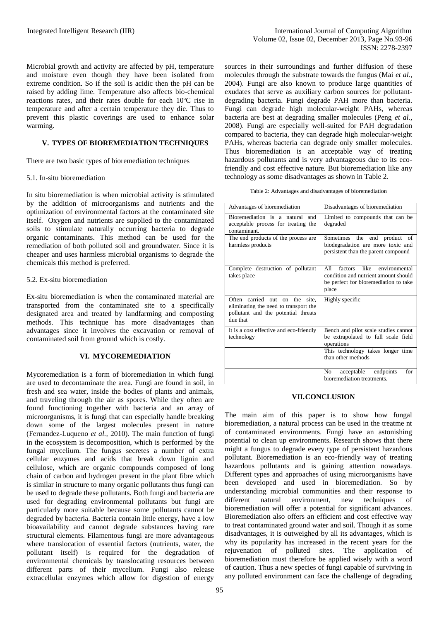Microbial growth and activity are affected by pH, temperature and moisture even though they have been isolated from extreme condition. So if the soil is acidic then the pH can be raised by adding lime. Temperature also affects bio-chemical reactions rates, and their rates double for each 10ºC rise in temperature and after a certain temperature they die. Thus to prevent this plastic coverings are used to enhance solar warming.

# **V. TYPES OF BIOREMEDIATION TECHNIQUES**

There are two basic types of bioremediation techniques

## 5.1. In-situ bioremediation

In situ bioremediation is when microbial activity is stimulated by the addition of microorganisms and nutrients and the optimization of environmental factors at the contaminated site itself. Oxygen and nutrients are supplied to the contaminated soils to stimulate naturally occurring bacteria to degrade organic contaminants. This method can be used for the remediation of both polluted soil and groundwater. Since it is cheaper and uses harmless microbial organisms to degrade the chemicals this method is preferred.

# 5.2. Ex-situ bioremediation

Ex-situ bioremediation is when the contaminated material are transported from the contaminated site to a specifically designated area and treated by landfarming and composting methods. This technique has more disadvantages than advantages since it involves the excavation or removal of contaminated soil from ground which is costly.

# **VI. MYCOREMEDIATION**

Mycoremediation is a form of bioremediation in which fungi are used to decontaminate the area. Fungi are found in soil, in fresh and sea water, inside the bodies of plants and animals, and traveling through the air as spores. While they often are found functioning together with bacteria and an array of microorganisms, it is fungi that can especially handle breaking down some of the largest molecules present in nature (Fernandez-Luqueno *et al.,* 2010). The main function of fungi in the ecosystem is decomposition, which is performed by the fungal mycelium. The fungus secretes a number of extra cellular enzymes and acids that break down lignin and cellulose, which are organic compounds composed of long chain of carbon and hydrogen present in the plant fibre which is similar in structure to many organic pollutants thus fungi can be used to degrade these pollutants. Both fungi and bacteria are used for degrading environmental pollutants but fungi are particularly more suitable because some pollutants cannot be degraded by bacteria. Bacteria contain little energy, have a low bioavailability and cannot degrade substances having rare structural elements. Filamentous fungi are more advantageous where translocation of essential factors (nutrients, water, the pollutant itself) is required for the degradation of environmental chemicals by translocating resources between different parts of their mycelium. Fungi also release extracellular enzymes which allow for digestion of energy

95

sources in their surroundings and further diffusion of these molecules through the substrate towards the fungus (Mai *et al.,* 2004). Fungi are also known to produce large quantities of exudates that serve as auxiliary carbon sources for pollutantdegrading bacteria. Fungi degrade PAH more than bacteria. Fungi can degrade high molecular-weight PAHs, whereas bacteria are best at degrading smaller molecules (Peng *et al.,* 2008). Fungi are especially well-suited for PAH degradation compared to bacteria, they can degrade high molecular-weight PAHs, whereas bacteria can degrade only smaller molecules. Thus bioremediation is an acceptable way of treating hazardous pollutants and is very advantageous due to its ecofriendly and cost effective nature. But bioremediation like any technology as some disadvantages as shown in Table 2.

| Advantages of bioremediation                                                                                                        | Disadvantages of bioremediation                                                                                                |
|-------------------------------------------------------------------------------------------------------------------------------------|--------------------------------------------------------------------------------------------------------------------------------|
| Bioremediation is a natural<br>and<br>acceptable process for treating the<br>contaminant.                                           | Limited to compounds that can be<br>degraded                                                                                   |
| The end products of the process are<br>harmless products                                                                            | Sometimes the end product of<br>biodegradation are more toxic and<br>persistent than the parent compound                       |
| Complete destruction of pollutant<br>takes place                                                                                    | factors like<br>All<br>environmental<br>condition and nutrient amount should<br>be perfect for bioremediation to take<br>place |
| carried out<br>Often<br>on the<br>site.<br>eliminating the need to transport the<br>pollutant and the potential threats<br>due that | Highly specific                                                                                                                |
| It is a cost effective and eco-friendly<br>technology                                                                               | Bench and pilot scale studies cannot<br>be extrapolated to full scale field<br>operations                                      |
|                                                                                                                                     | This technology takes longer time<br>than other methods                                                                        |
|                                                                                                                                     | No<br>endpoints<br>for<br>acceptable<br>bioremediation treatments.                                                             |

# **VII.CONCLUSION**

The main aim of this paper is to show how fungal bioremediation, a natural process can be used in the treatme nt of contaminated environments. Fungi have an astonishing potential to clean up environments. Research shows that there might a fungus to degrade every type of persistent hazardous pollutant. Bioremediation is an eco-friendly way of treating hazardous pollutants and is gaining attention nowadays. Different types and approaches of using microorganisms have been developed and used in bioremediation. So by understanding microbial communities and their response to different natural environment, new techniques of bioremediation will offer a potential for significant advances. Bioremediation also offers an efficient and cost effective way to treat contaminated ground water and soil. Though it as some disadvantages, it is outweighed by all its advantages, which is why its popularity has increased in the recent years for the rejuvenation of polluted sites. The application of bioremediation must therefore be applied wisely with a word of caution. Thus a new species of fungi capable of surviving in any polluted environment can face the challenge of degrading